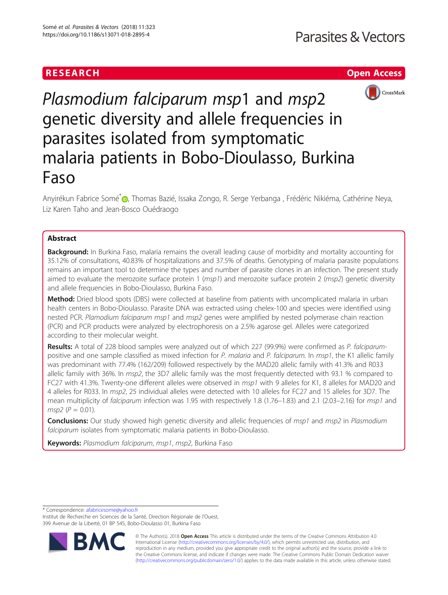## RESEARCH **RESEARCH CHANNEL EXECUTE ACCESS**



# Plasmodium falciparum msp1 and msp2 genetic diversity and allele frequencies in parasites isolated from symptomatic malaria patients in Bobo-Dioulasso, Burkina Faso

Anyirékun Fabrice Somé<sup>\*</sup> (@, Thomas Bazié, Issaka Zongo, R. Serge Yerbanga, Frédéric Nikiéma, Cathérine Neya, Liz Karen Taho and Jean-Bosco Ouédraogo

### Abstract

**Background:** In Burkina Faso, malaria remains the overall leading cause of morbidity and mortality accounting for 35.12% of consultations, 40.83% of hospitalizations and 37.5% of deaths. Genotyping of malaria parasite populations remains an important tool to determine the types and number of parasite clones in an infection. The present study aimed to evaluate the merozoite surface protein 1 ( $msp1$ ) and merozoite surface protein 2 ( $msp2$ ) genetic diversity and allele frequencies in Bobo-Dioulasso, Burkina Faso.

Method: Dried blood spots (DBS) were collected at baseline from patients with uncomplicated malaria in urban health centers in Bobo-Dioulasso. Parasite DNA was extracted using chelex-100 and species were identified using nested PCR. Plamodium falciparum msp1 and msp2 genes were amplified by nested polymerase chain reaction (PCR) and PCR products were analyzed by electrophoresis on a 2.5% agarose gel. Alleles were categorized according to their molecular weight.

Results: A total of 228 blood samples were analyzed out of which 227 (99.9%) were confirmed as P. falciparumpositive and one sample classified as mixed infection for P. malaria and P. falciparum. In msp1, the K1 allelic family was predominant with 77.4% (162/209) followed respectively by the MAD20 allelic family with 41.3% and R033 allelic family with 36%. In msp2, the 3D7 allelic family was the most frequently detected with 93.1 % compared to FC27 with 41.3%. Twenty-one different alleles were observed in msp1 with 9 alleles for K1, 8 alleles for MAD20 and 4 alleles for R033. In msp2, 25 individual alleles were detected with 10 alleles for FC27 and 15 alleles for 3D7. The mean multiplicity of falciparum infection was 1.95 with respectively 1.8 (1.76–1.83) and 2.1 (2.03–2.16) for msp1 and  $msp2 (P = 0.01)$ .

**Conclusions:** Our study showed high genetic diversity and allelic frequencies of msp1 and msp2 in Plasmodium falciparum isolates from symptomatic malaria patients in Bobo-Dioulasso.

Keywords: Plasmodium falciparum, msp1, msp2, Burkina Faso

\* Correspondence: [afabricesome@yahoo.fr](mailto:afabricesome@yahoo.fr)

Institut de Recherche en Sciences de la Santé, Direction Régionale de l'Ouest, 399 Avenue de la Liberté, 01 BP 545, Bobo-Dioulasso 01, Burkina Faso



© The Author(s). 2018 Open Access This article is distributed under the terms of the Creative Commons Attribution 4.0 International License [\(http://creativecommons.org/licenses/by/4.0/](http://creativecommons.org/licenses/by/4.0/)), which permits unrestricted use, distribution, and reproduction in any medium, provided you give appropriate credit to the original author(s) and the source, provide a link to the Creative Commons license, and indicate if changes were made. The Creative Commons Public Domain Dedication waiver [\(http://creativecommons.org/publicdomain/zero/1.0/](http://creativecommons.org/publicdomain/zero/1.0/)) applies to the data made available in this article, unless otherwise stated.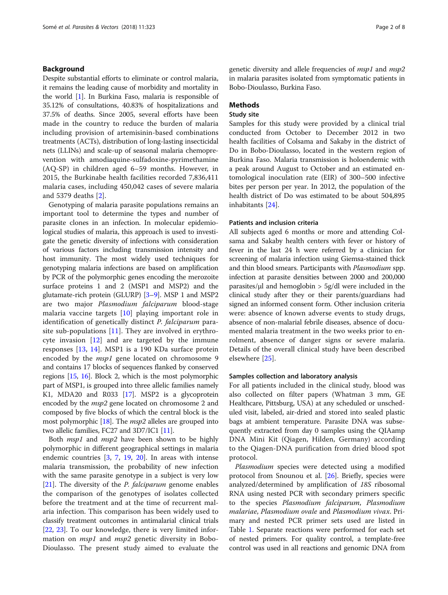#### Background

Despite substantial efforts to eliminate or control malaria, it remains the leading cause of morbidity and mortality in the world [[1](#page-6-0)]. In Burkina Faso, malaria is responsible of 35.12% of consultations, 40.83% of hospitalizations and 37.5% of deaths. Since 2005, several efforts have been made in the country to reduce the burden of malaria including provision of artemisinin-based combinations treatments (ACTs), distribution of long-lasting insecticidal nets (LLINs) and scale-up of seasonal malaria chemoprevention with amodiaquine-sulfadoxine-pyrimethamine (AQ-SP) in children aged 6–59 months. However, in 2015, the Burkinabe health facilities recorded 7,836,411 malaria cases, including 450,042 cases of severe malaria and 5379 deaths [[2\]](#page-6-0).

Genotyping of malaria parasite populations remains an important tool to determine the types and number of parasite clones in an infection. In molecular epidemiological studies of malaria, this approach is used to investigate the genetic diversity of infections with consideration of various factors including transmission intensity and host immunity. The most widely used techniques for genotyping malaria infections are based on amplification by PCR of the polymorphic genes encoding the merozoite surface proteins 1 and 2 (MSP1 and MSP2) and the glutamate-rich protein (GLURP) [\[3](#page-6-0)–[9](#page-6-0)]. MSP 1 and MSP2 are two major Plasmodium falciparum blood-stage malaria vaccine targets [\[10](#page-6-0)] playing important role in identification of genetically distinct *P. falciparum* parasite sub-populations  $[11]$  $[11]$ . They are involved in erythrocyte invasion [[12\]](#page-6-0) and are targeted by the immune responses [[13](#page-6-0), [14](#page-6-0)]. MSP1 is a 190 KDa surface protein encoded by the *msp1* gene located on chromosome 9 and contains 17 blocks of sequences flanked by conserved regions [\[15](#page-6-0), [16](#page-6-0)]. Block 2, which is the most polymorphic part of MSP1, is grouped into three allelic families namely K1, MDA20 and R033 [\[17\]](#page-6-0). MSP2 is a glycoprotein encoded by the msp2 gene located on chromosome 2 and composed by five blocks of which the central block is the most polymorphic  $[18]$ . The *msp2* alleles are grouped into two allelic families, FC27 and 3D7/IC1 [[11](#page-6-0)].

Both *msp1* and *msp2* have been shown to be highly polymorphic in different geographical settings in malaria endemic countries [\[3](#page-6-0), [7,](#page-6-0) [19](#page-6-0), [20\]](#page-6-0). In areas with intense malaria transmission, the probability of new infection with the same parasite genotype in a subject is very low [[21\]](#page-6-0). The diversity of the  $P$ . falciparum genome enables the comparison of the genotypes of isolates collected before the treatment and at the time of recurrent malaria infection. This comparison has been widely used to classify treatment outcomes in antimalarial clinical trials [[22](#page-6-0), [23\]](#page-6-0). To our knowledge, there is very limited information on *msp1* and *msp2* genetic diversity in Bobo-Dioulasso. The present study aimed to evaluate the genetic diversity and allele frequencies of msp1 and msp2 in malaria parasites isolated from symptomatic patients in Bobo-Dioulasso, Burkina Faso.

#### **Methods**

#### Study site

Samples for this study were provided by a clinical trial conducted from October to December 2012 in two health facilities of Colsama and Sakaby in the district of Do in Bobo-Dioulasso, located in the western region of Burkina Faso. Malaria transmission is holoendemic with a peak around August to October and an estimated entomological inoculation rate (EIR) of 300–500 infective bites per person per year. In 2012, the population of the health district of Do was estimated to be about 504,895 inhabitants [\[24](#page-6-0)].

#### Patients and inclusion criteria

All subjects aged 6 months or more and attending Colsama and Sakaby health centers with fever or history of fever in the last 24 h were referred by a clinician for screening of malaria infection using Giemsa-stained thick and thin blood smears. Participants with Plasmodium spp. infection at parasite densities between 2000 and 200,000 parasites/ $\mu$ l and hemoglobin > 5g/dl were included in the clinical study after they or their parents/guardians had signed an informed consent form. Other inclusion criteria were: absence of known adverse events to study drugs, absence of non-malarial febrile diseases, absence of documented malaria treatment in the two weeks prior to enrolment, absence of danger signs or severe malaria. Details of the overall clinical study have been described elsewhere [\[25\]](#page-6-0).

#### Samples collection and laboratory analysis

For all patients included in the clinical study, blood was also collected on filter papers (Whatman 3 mm, GE Healthcare, Pittsburg, USA) at any scheduled or unscheduled visit, labeled, air-dried and stored into sealed plastic bags at ambient temperature. Parasite DNA was subsequently extracted from day 0 samples using the QIAamp DNA Mini Kit (Qiagen, Hilden, Germany) according to the Qiagen-DNA purification from dried blood spot protocol.

Plasmodium species were detected using a modified protocol from Snounou et al. [\[26](#page-6-0)]. Briefly, species were analyzed/determined by amplification of 18S ribosomal RNA using nested PCR with secondary primers specific to the species Plasmodium falciparum, Plasmodium malariae, Plasmodium ovale and Plasmodium vivax. Primary and nested PCR primer sets used are listed in Table [1](#page-2-0). Separate reactions were performed for each set of nested primers. For quality control, a template-free control was used in all reactions and genomic DNA from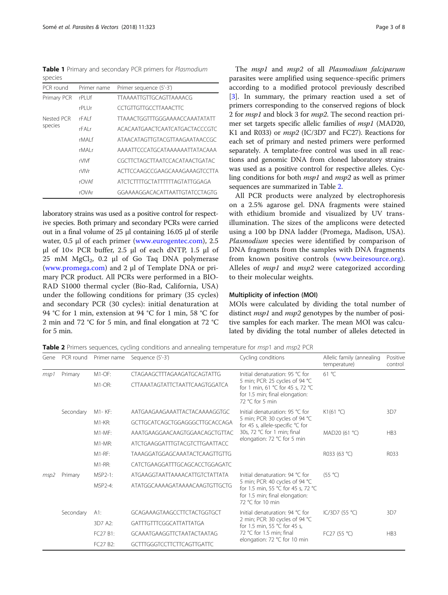<span id="page-2-0"></span>Table 1 Primary and secondary PCR primers for Plasmodium species

| PCR round             | Primer name | Primer sequence (5'-3')               |
|-----------------------|-------------|---------------------------------------|
| Primary PCR           | rPI Uf      | <b>TTAAAATTGTTGCAGTTAAAACG</b>        |
|                       | rPI Ur      | <b>CCTGTTGTTGCCTTAAACTTC</b>          |
| Nested PCR<br>species | rFAI f      | <b>TTAAACTGGTTTGGGAAAACCAAATATATT</b> |
|                       | rFAI r      | ACACAATGAACTCAATCATGACTACCCGTC        |
|                       | rMAI f      | ATAACATAGTTGTACGTTAAGAATAACCGC        |
|                       | rMAI r      | <b>AAAATTCCCATGCATAAAAAATTATACAAA</b> |
|                       | rVIVf       | CGCTTCTAGCTTAATCCACATAACTGATAC        |
|                       | rVIVr       | ACTTCCAAGCCGAAGCAAAGAAAGTCCTTA        |
|                       | rOVAf       | ATCTCTTTTGCTATTTTTTAGTATTGGAGA        |
|                       | r∩VAr       | GGAAAAGGACACATTAATTGTATCCTAGTG        |

laboratory strains was used as a positive control for respective species. Both primary and secondary PCRs were carried out in a final volume of 25 μl containing 16.05 μl of sterile water, 0.5 μl of each primer [\(www.eurogentec.com\)](http://www.eurogentec.com), 2.5 μl of 10× PCR buffer, 2.5 μl of each dNTP, 1.5 μl of 25 mM MgCl<sub>2</sub>, 0.2 μl of Go Taq DNA polymerase ([www.promega.com\)](http://www.promega.com) and 2 μl of Template DNA or primary PCR product. All PCRs were performed in a BIO-RAD S1000 thermal cycler (Bio-Rad, California, USA) under the following conditions for primary (35 cycles) and secondary PCR (30 cycles): initial denaturation at 94 °C for 1 min, extension at 94 °C for 1 min, 58 °C for 2 min and 72 °C for 5 min, and final elongation at 72 °C for 5 min.

The msp1 and msp2 of all Plasmodium falciparum parasites were amplified using sequence-specific primers according to a modified protocol previously described [[3\]](#page-6-0). In summary, the primary reaction used a set of primers corresponding to the conserved regions of block 2 for msp1 and block 3 for msp2. The second reaction primer set targets specific allelic families of msp1 (MAD20, K1 and R033) or msp2 (IC/3D7 and FC27). Reactions for each set of primary and nested primers were performed separately. A template-free control was used in all reactions and genomic DNA from cloned laboratory strains was used as a positive control for respective alleles. Cycling conditions for both msp1 and msp2 as well as primer sequences are summarized in Table 2.

All PCR products were analyzed by electrophoresis on a 2.5% agarose gel. DNA fragments were stained with ethidium bromide and visualized by UV transillumination. The sizes of the amplicons were detected using a 100 bp DNA ladder (Promega, Madison, USA). Plasmodium species were identified by comparison of DNA fragments from the samples with DNA fragments from known positive controls [\(www.beiresource.org](http://www.beiresource.org)). Alleles of *msp1* and *msp2* were categorized according to their molecular weights.

#### Multiplicity of infection (MOI)

MOIs were calculated by dividing the total number of distinct *msp1* and *msp2* genotypes by the number of positive samples for each marker. The mean MOI was calculated by dividing the total number of alleles detected in

Table 2 Primers sequences, cycling conditions and annealing temperature for msp1 and msp2 PCR

| Gene            | PCR round                                                                                  | Primer name                                                                                             | Sequence (5'-3')                                                 | Cycling conditions                                                                                                                                            | Allelic family (annealing<br>temperature) | Positive<br>control |
|-----------------|--------------------------------------------------------------------------------------------|---------------------------------------------------------------------------------------------------------|------------------------------------------------------------------|---------------------------------------------------------------------------------------------------------------------------------------------------------------|-------------------------------------------|---------------------|
| msp1            | Primary                                                                                    | $M1-OF$ :                                                                                               | CTAGAAGCTTTAGAAGATGCAGTATTG                                      | Initial denaturation: 95 °C for                                                                                                                               | 61 °C                                     |                     |
|                 |                                                                                            | $M1$ -OR:<br><b>CTTAAATAGTATTCTAATTCAAGTGGATCA</b><br>for 1.5 min; final elongation:<br>72 °C for 5 min |                                                                  | 5 min; PCR: 25 cycles of 94 °C<br>for 1 min, 61 °C for 45 s, 72 °C                                                                                            |                                           |                     |
|                 | Secondary                                                                                  | M1-KF:                                                                                                  | AATGAAGAAGAAATTACTACAAAAGGTGC<br>Initial denaturation: 95 °C for |                                                                                                                                                               | K1(61 °C)                                 | 3D7                 |
|                 | $M1-KR$ :<br>GCTTGCATCAGCTGGAGGGCTTGCACCAGA<br>AAATGAAGGAACAAGTGGAACAGCTGTTAC<br>$M1-MF$ : |                                                                                                         |                                                                  | 5 min; PCR: 30 cycles of 94 °C<br>for 45 s, allele-specific °C for                                                                                            |                                           |                     |
|                 |                                                                                            | 30s, 72 $°C$ for 1 min; final                                                                           | MAD20 (61 °C)                                                    | HB <sub>3</sub>                                                                                                                                               |                                           |                     |
|                 |                                                                                            | $M1-MR$ :                                                                                               | ATCTGAAGGATTTGTACGTCTTGAATTACC                                   | elongation: 72 ℃ for 5 min                                                                                                                                    |                                           |                     |
|                 |                                                                                            | $M1-RF:$                                                                                                | <b>TAAAGGATGGAGCAAATACTCAAGTTGTTG</b>                            |                                                                                                                                                               | R033 (63 °C)                              | R033                |
|                 |                                                                                            | $M1-RR:$                                                                                                | CATCTGAAGGATTTGCAGCACCTGGAGATC                                   |                                                                                                                                                               |                                           |                     |
| Primary<br>msp2 |                                                                                            | MSP2-1:                                                                                                 | ATGAAGGTAATTAAAACATTGTCTATTATA                                   | Initial denaturation: 94 °C for<br>5 min; PCR: 40 cycles of 94 °C<br>for 1.5 min, 55 °C for 45 s, 72 °C<br>for 1.5 min; final elongation:<br>72 °C for 10 min | (55 °C)                                   |                     |
|                 |                                                                                            | MSP2-4:                                                                                                 | ATATGGCAAAAGATAAAACAAGTGTTGCTG                                   |                                                                                                                                                               |                                           |                     |
|                 | Secondary                                                                                  | A1:                                                                                                     | GCAGAAAGTAAGCCTTCTACTGGTGCT                                      | Initial denaturation: 94 °C for<br>2 min; PCR: 30 cycles of 94 °C<br>for 1.5 min, 55 °C for 45 s,<br>72 °C for 1.5 min; final<br>elongation: 72 °C for 10 min | IC/3D7 (55 °C)                            | 3D7                 |
|                 |                                                                                            | 3D7 A2:                                                                                                 | GATTTGTTTCGGCATTATTATGA                                          |                                                                                                                                                               |                                           |                     |
|                 |                                                                                            | FC27 B1:                                                                                                | GCAAATGAAGGTTCTAATACTAATAG                                       |                                                                                                                                                               | FC27 (55 °C)                              | HB3                 |
|                 |                                                                                            | FC27 B2:                                                                                                | <b>GCTTTGGGTCCTTCTTCAGTTGATTC</b>                                |                                                                                                                                                               |                                           |                     |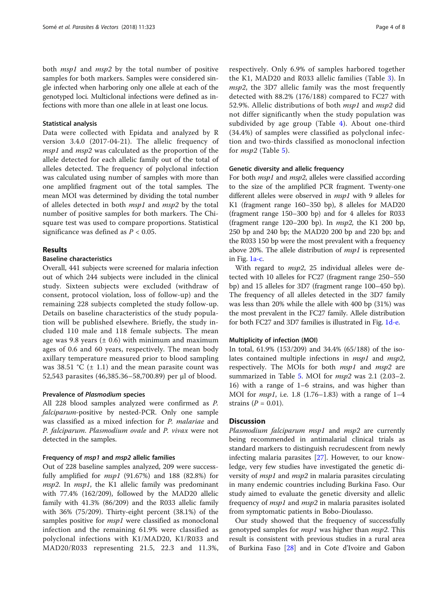both *msp1* and *msp2* by the total number of positive samples for both markers. Samples were considered single infected when harboring only one allele at each of the genotyped loci. Multiclonal infections were defined as infections with more than one allele in at least one locus.

#### Statistical analysis

Data were collected with Epidata and analyzed by R version 3.4.0 (2017-04-21). The allelic frequency of msp1 and msp2 was calculated as the proportion of the allele detected for each allelic family out of the total of alleles detected. The frequency of polyclonal infection was calculated using number of samples with more than one amplified fragment out of the total samples. The mean MOI was determined by dividing the total number of alleles detected in both msp1 and msp2 by the total number of positive samples for both markers. The Chisquare test was used to compare proportions. Statistical significance was defined as  $P < 0.05$ .

#### Results

#### Baseline characteristics

Overall, 441 subjects were screened for malaria infection out of which 244 subjects were included in the clinical study. Sixteen subjects were excluded (withdraw of consent, protocol violation, loss of follow-up) and the remaining 228 subjects completed the study follow-up. Details on baseline characteristics of the study population will be published elsewhere. Briefly, the study included 110 male and 118 female subjects. The mean age was 9.8 years  $(± 0.6)$  with minimum and maximum ages of 0.6 and 60 years, respectively. The mean body axillary temperature measured prior to blood sampling was 38.51 °C  $(\pm 1.1)$  and the mean parasite count was 52,543 parasites (46,385.36–58,700.89) per μl of blood.

#### Prevalence of Plasmodium species

All 228 blood samples analyzed were confirmed as P. falciparum-positive by nested-PCR. Only one sample was classified as a mixed infection for P. malariae and P. falciparum. Plasmodium ovale and P. vivax were not detected in the samples.

#### Frequency of msp1 and msp2 allelic families

Out of 228 baseline samples analyzed, 209 were successfully amplified for  $msp1$  (91.67%) and 188 (82.8%) for *msp2*. In *msp1*, the K1 allelic family was predominant with 77.4% (162/209), followed by the MAD20 allelic family with 41.3% (86/209) and the R033 allelic family with 36% (75/209). Thirty-eight percent (38.1%) of the samples positive for *msp1* were classified as monoclonal infection and the remaining 61.9% were classified as polyclonal infections with K1/MAD20, K1/R033 and MAD20/R033 representing 21.5, 22.3 and 11.3%,

respectively. Only 6.9% of samples harbored together the K1, MAD20 and R033 allelic families (Table [3\)](#page-4-0). In msp2, the 3D7 allelic family was the most frequently detected with 88.2% (176/188) compared to FC27 with 52.9%. Allelic distributions of both msp1 and msp2 did not differ significantly when the study population was subdivided by age group (Table [4](#page-4-0)). About one-third (34.4%) of samples were classified as polyclonal infection and two-thirds classified as monoclonal infection for msp2 (Table [5\)](#page-5-0).

#### Genetic diversity and allelic frequency

For both *msp1* and *msp2*, alleles were classified according to the size of the amplified PCR fragment. Twenty-one different alleles were observed in *msp1* with 9 alleles for K1 (fragment range 160–350 bp), 8 alleles for MAD20 (fragment range 150–300 bp) and for 4 alleles for R033 (fragment range  $120-200$  bp). In  $msp2$ , the K1 200 bp, 250 bp and 240 bp; the MAD20 200 bp and 220 bp; and the R033 150 bp were the most prevalent with a frequency above 20%. The allele distribution of  $msp1$  is represented in Fig. [1a-c.](#page-5-0)

With regard to *msp2*, 25 individual alleles were detected with 10 alleles for FC27 (fragment range 250–550 bp) and 15 alleles for 3D7 (fragment range 100–450 bp). The frequency of all alleles detected in the 3D7 family was less than 20% while the allele with 400 bp (31%) was the most prevalent in the FC27 family. Allele distribution for both FC27 and 3D7 families is illustrated in Fig. [1d-e.](#page-5-0)

#### Multiplicity of infection (MOI)

In total, 61.9% (153/209) and 34.4% (65/188) of the isolates contained multiple infections in *msp1* and *msp2*, respectively. The MOIs for both *msp1* and *msp2* are summarized in Table [5.](#page-5-0) MOI for  $msp2$  was 2.1 (2.03–2. 16) with a range of 1–6 strains, and was higher than MOI for  $msp1$ , i.e. 1.8 (1.76–1.83) with a range of 1–4 strains  $(P = 0.01)$ .

#### **Discussion**

Plasmodium falciparum msp1 and msp2 are currently being recommended in antimalarial clinical trials as standard markers to distinguish recrudescent from newly infecting malaria parasites [\[27\]](#page-6-0). However, to our knowledge, very few studies have investigated the genetic diversity of *msp1* and *msp2* in malaria parasites circulating in many endemic countries including Burkina Faso. Our study aimed to evaluate the genetic diversity and allelic frequency of msp1 and msp2 in malaria parasites isolated from symptomatic patients in Bobo-Dioulasso.

Our study showed that the frequency of successfully genotyped samples for *msp1* was higher than *msp2*. This result is consistent with previous studies in a rural area of Burkina Faso [[28\]](#page-6-0) and in Cote d'Ivoire and Gabon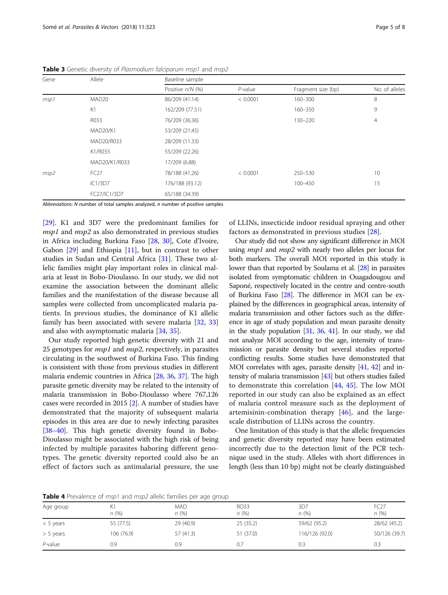| Gene | Allele            | Baseline sample  |            |                    |                |  |  |
|------|-------------------|------------------|------------|--------------------|----------------|--|--|
|      |                   | Positive n/N (%) | $P$ -value | Fragment size (bp) | No. of alleles |  |  |
| msp1 | MAD <sub>20</sub> | 86/209 (41.14)   | < 0.0001   | $160 - 300$        | 8              |  |  |
|      | K1                | 162/209 (77.51)  |            | 160-350            | 9              |  |  |
|      | R033              | 76/209 (36.36)   |            | 130-220            | $\overline{4}$ |  |  |
|      | <b>MAD20/K1</b>   | 53/209 (21.45)   |            |                    |                |  |  |
|      | MAD20/R033        | 28/209 (11.33)   |            |                    |                |  |  |
|      | K1/R033           | 55/209 (22.26)   |            |                    |                |  |  |
|      | MAD20/K1/R033     | 17/209 (6.88)    |            |                    |                |  |  |
| msp2 | <b>FC27</b>       | 78/188 (41.26)   | < 0.0001   | 250-530            | 10             |  |  |
|      | IC1/3D7           | 176/188 (93.12)  |            | 100-450            | 15             |  |  |
|      | FC27/IC1/3D7      | 65/188 (34.39)   |            |                    |                |  |  |

<span id="page-4-0"></span>Table 3 Genetic diversity of Plasmodium falciparum msp1 and msp2

Abbreviations: N number of total samples analyzed, n number of positive samples

[[29\]](#page-7-0). K1 and 3D7 were the predominant families for msp1 and msp2 as also demonstrated in previous studies in Africa including Burkina Faso [[28,](#page-6-0) [30\]](#page-7-0), Cote d'Ivoire, Gabon [\[29](#page-7-0)] and Ethiopia [\[11](#page-6-0)], but in contrast to other studies in Sudan and Central Africa [\[31\]](#page-7-0). These two allelic families might play important roles in clinical malaria at least in Bobo-Dioulasso. In our study, we did not examine the association between the dominant allelic families and the manifestation of the disease because all samples were collected from uncomplicated malaria patients. In previous studies, the dominance of K1 allelic family has been associated with severe malaria [\[32](#page-7-0), [33](#page-7-0)] and also with asymptomatic malaria [[34](#page-7-0), [35](#page-7-0)].

Our study reported high genetic diversity with 21 and 25 genotypes for *msp1* and *msp2*, respectively, in parasites circulating in the southwest of Burkina Faso. This finding is consistent with those from previous studies in different malaria endemic countries in Africa [\[28,](#page-6-0) [36](#page-7-0), [37\]](#page-7-0). The high parasite genetic diversity may be related to the intensity of malaria transmission in Bobo-Dioulasso where 767,126 cases were recorded in 2015 [\[2\]](#page-6-0). A number of studies have demonstrated that the majority of subsequent malaria episodes in this area are due to newly infecting parasites [[38](#page-7-0)–[40\]](#page-7-0). This high genetic diversity found in Bobo-Dioulasso might be associated with the high risk of being infected by multiple parasites haboring different genotypes. The genetic diversity reported could also be an effect of factors such as antimalarial pressure, the use of LLINs, insecticide indoor residual spraying and other factors as demonstrated in previous studies [[28\]](#page-6-0).

Our study did not show any significant difference in MOI using *msp1* and *msp2* with nearly two alleles per locus for both markers. The overall MOI reported in this study is lower than that reported by Soulama et al. [\[28\]](#page-6-0) in parasites isolated from symptomatic children in Ouagadougou and Saponé, respectively located in the centre and centre-south of Burkina Faso [\[28](#page-6-0)]. The difference in MOI can be explained by the differences in geographical areas, intensity of malaria transmission and other factors such as the difference in age of study population and mean parasite density in the study population [\[31,](#page-7-0) [36,](#page-7-0) [41](#page-7-0)]. In our study, we did not analyze MOI according to the age, intensity of transmission or parasite density but several studies reported conflicting results. Some studies have demonstrated that MOI correlates with ages, parasite density [\[41](#page-7-0), [42](#page-7-0)] and intensity of malaria transmission [\[43](#page-7-0)] but others studies failed to demonstrate this correlation [\[44](#page-7-0), [45](#page-7-0)]. The low MOI reported in our study can also be explained as an effect of malaria control measure such as the deployment of artemisinin-combination therapy  $[46]$  $[46]$ , and the largescale distribution of LLINs across the country.

One limitation of this study is that the allelic frequencies and genetic diversity reported may have been estimated incorrectly due to the detection limit of the PCR technique used in the study. Alleles with short differences in length (less than 10 bp) might not be clearly distinguished

Table 4 Prevalence of msp1 and msp2 allelic families per age group

| Age group   | К1<br>n(%) | <b>MAD</b><br>n(%) | <b>RO33</b><br>n(%) | 3D7<br>n(%)    | FC27<br>n(%)  |
|-------------|------------|--------------------|---------------------|----------------|---------------|
| $<$ 5 years | 55 (77.5)  | 29 (40.9)          | 25(35.2)            | 59/62 (95.2)   | 28/62 (45.2)  |
| $> 5$ years | 106 (76.9) | 57(41.3)           | 51 (37.0)           | 116/126 (92.0) | 50/126 (39.7) |
| $P$ -value  | 0.9        | 0.9                | 0.7                 | 0.3            | 0.3           |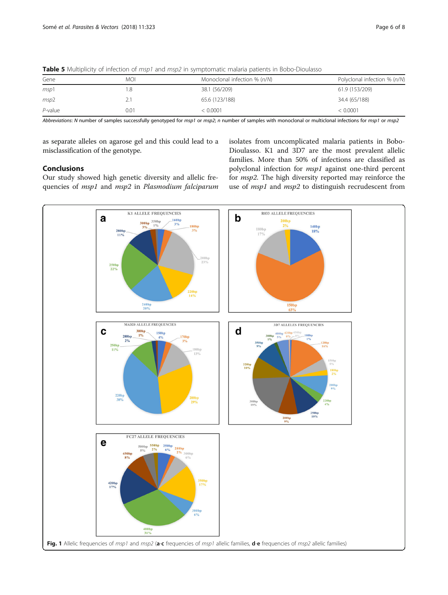| Gene       | MOI      | Monoclonal infection % (n/N) | Polyclonal infection % (n/N) |
|------------|----------|------------------------------|------------------------------|
| msp1       | .8       | 38.1 (56/209)                | 61.9 (153/209)               |
| msp2       | <u>.</u> | 65.6 (123/188)               | 34.4 (65/188)                |
| $P$ -value | 0.01     | < 0.0001                     | < 0.0001                     |

<span id="page-5-0"></span>Table 5 Multiplicity of infection of msp1 and msp2 in symptomatic malaria patients in Bobo-Dioulasso

Abbreviations: N number of samples successfully genotyped for msp1 or msp2; n number of samples with monoclonal or multiclonal infections for msp1 or msp2

as separate alleles on agarose gel and this could lead to a misclassification of the genotype.

#### **Conclusions**

Our study showed high genetic diversity and allelic frequencies of msp1 and msp2 in Plasmodium falciparum isolates from uncomplicated malaria patients in Bobo-Dioulasso. K1 and 3D7 are the most prevalent allelic families. More than 50% of infections are classified as polyclonal infection for msp1 against one-third percent for msp2. The high diversity reported may reinforce the use of *msp1* and *msp2* to distinguish recrudescent from

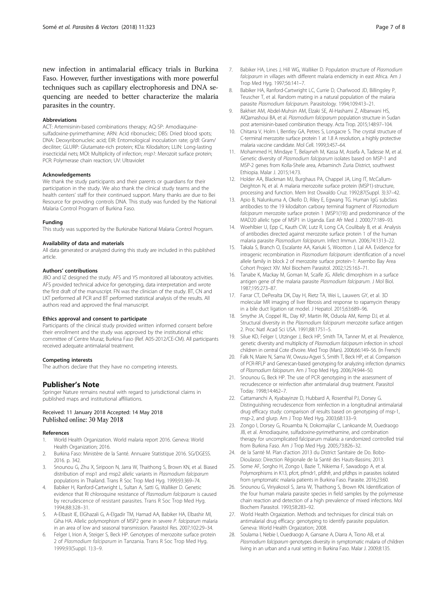<span id="page-6-0"></span>new infection in antimalarial efficacy trials in Burkina Faso. However, further investigations with more powerful techniques such as capillary electrophoresis and DNA sequencing are needed to better characterize the malaria parasites in the country.

#### Abbreviations

ACT: Artemisinin-based combinations therapy; AQ-SP: Amodiaquinesulfadoxine-pyrimethamine; ARN: Acid ribonucleic; DBS: Dried blood spots; DNA: Deoxyribonucleic acid; EIR: Entomological inoculation rate; g/dl: Gram/ deciliter; GLURP: Glutamate-rich protein; KDa: Kilodalton; LLIN: Long-lasting insecticidal nets; MOI: Multiplicity of infection; msp1: Merozoit surface protein; PCR: Polymerase chain reaction; UV: Ultraviolet

#### Acknowledgements

We thank the study participants and their parents or guardians for their participation in the study. We also thank the clinical study teams and the health centers' staff for their continued support. Many thanks are due to Bei Resource for providing controls DNA. This study was funded by the National Malaria Control Program of Burkina Faso.

#### Funding

This study was supported by the Burkinabe National Malaria Control Program.

#### Availability of data and materials

All data generated or analyzed during this study are included in this published article.

#### Authors' contributions

JBO and IZ designed the study. AFS and YS monitored all laboratory activities. AFS provided technical advice for genotyping, data interpretation and wrote the first draft of the manuscript. FN was the clinician of the study. BT, CN and LKT performed all PCR and BT performed statistical analysis of the results. All authors read and approved the final manuscript.

#### Ethics approval and consent to participate

Participants of the clinical study provided written informed consent before their enrollment and the study was approved by the institutional ethic committee of Centre Muraz, Burkina Faso (Ref. A05-2012/CE-CM). All participants received adequate antimalarial treatment.

#### Competing interests

The authors declare that they have no competing interests.

#### Publisher's Note

Springer Nature remains neutral with regard to jurisdictional claims in published maps and institutional affiliations.

#### Received: 11 January 2018 Accepted: 14 May 2018 Published online: 30 May 2018

#### References

- 1. World Health Organization. World malaria report 2016. Geneva: World Health Organization; 2016.
- 2. Burkina Faso: Ministère de la Santé. Annuaire Statistique 2016. SG/DGESS. 2016. p. 342.
- 3. Snounou G, Zhu X, Siripoon N, Jarra W, Thaithong S, Brown KN, et al. Biased distribution of msp1 and msp2 allelic variants in Plasmodium falciparum populations in Thailand. Trans R Soc Trop Med Hyg. 1999;93:369–74.
- 4. Babiker H, Ranford-Cartwright L, Sultan A, Satti G, Walliker D. Genetic evidence that RI chloroquine resistance of Plasmodium falciparum is caused by recrudescence of resistant parasites. Trans R Soc Trop Med Hyg. 1994;88:328–31.
- 5. A-Elbasit IE, ElGhazali G, A-Elgadir TM, Hamad AA, Babiker HA, Elbashir MI, Giha HA. Allelic polymorphism of MSP2 gene in severe P. falciparum malaria in an area of low and seasonal transmission. Parasitol Res. 2007;102:29–34.
- 6. Felger I, Irion A, Steiger S, Beck HP. Genotypes of merozoite surface protein 2 of Plasmodium falciparum in Tanzania. Trans R Soc Trop Med Hyg. 1999;93(Suppl. 1):3–9.
- 8. Babiker HA, Ranford-Cartwright LC, Currie D, Charlwood JD, Billingsley P, Teuscher T, et al. Random mating in a natural population of the malaria parasite Plasmodium falciparum. Parasitology. 1994;109:413–21.
- 9. Bakhiet AM, Abdel-Muhsin AM, Elzaki SE, Al-Hashami Z, Albarwani HS, AlQamashoui BA, et al. Plasmodium falciparum population structure in Sudan post artemisinin-based combination therapy. Acta Trop. 2015;148:97–104.
- 10. Chitarra V, Holm I, Bentley GA, Petres S, Longacre S. The crystal structure of C-terminal merozoite surface protein 1 at 1.8 A resolution, a highly protective malaria vaccine candidate. Mol Cell. 1999;3:457–64.
- 11. Mohammed H, Mindaye T, Belayneh M, Kassa M, Assefa A, Tadesse M, et al. Genetic diversity of Plasmodium falciparum isolates based on MSP-1 and MSP-2 genes from Kolla-Shele area, Arbaminch Zuria District, southwest Ethiopia. Malar J. 2015;14:73.
- 12. Holder AA, Blackman MJ, Burghaus PA, Chappel JA, Ling IT, McCallum-Deighton N, et al. A malaria merozoite surface protein (MSP1)-structure, processing and function. Mem Inst Oswaldo Cruz. 1992;87(Suppl. 3):37–42.
- 13. Apio B, Nalunkuma A, Okello D, Riley E, Egwang TG. Human IgG subclass antibodies to the 19 kilodalton carboxy terminal fragment of Plasmodium falciparum merozoite surface protein 1 (MSP1(19)) and predominance of the MAD20 allelic type of MSP1 in Uganda. East Afr Med J. 2000;77:189–93.
- 14. Woehlbier U, Epp C, Kauth CW, Lutz R, Long CA, Coulibaly B, et al. Analysis of antibodies directed against merozoite surface protein 1 of the human malaria parasite Plasmodium falciparum. Infect Immun. 2006;74:1313–22.
- 15. Takala S, Branch O, Escalante AA, Kariuki S, Wootton J, Lal AA. Evidence for intragenic recombination in Plasmodium falciparum: identification of a novel allele family in block 2 of merozoite surface protein-1: Asembo Bay Area Cohort Project XIV. Mol Biochem Parasitol. 2002;125:163–71.
- 16. Tanabe K, Mackay M, Goman M, Scaife JG. Allelic dimorphism in a surface antigen gene of the malaria parasite Plasmodium falciparum. J Mol Biol. 1987;195:273–87.
- 17. Farrar CT, DePeralta DK, Day H, Rietz TA, Wei L, Lauwers GY, et al. 3D molecular MR imaging of liver fibrosis and response to rapamycin therapy in a bile duct ligation rat model. J Hepatol. 2015;63:689–96.
- 18. Smythe JA, Coppel RL, Day KP, Martin RK, Oduola AM, Kemp DJ, et al. Structural diversity in the Plasmodium falciparum merozoite surface antigen 2. Proc Natl Acad Sci USA. 1991;88:1751–5.
- 19. Silue KD, Felger I, Utzinger J, Beck HP, Smith TA, Tanner M, et al. Prevalence, genetic diversity and multiplicity of Plasmodium falciparum infection in school children in central Cote d'Ivoire. Med Trop (Mars). 2006;66:149–56. (In French)
- 20. Falk N, Maire N, Sama W, Owusu-Agyei S, Smith T, Beck HP, et al. Comparison of PCR-RFLP and Genescan-based genotyping for analyzing infection dynamics of Plasmodium falciparum. Am J Trop Med Hyg. 2006;74:944–50.
- 21. Snounou G, Beck HP. The use of PCR genotyping in the assessment of recrudescence or reinfection after antimalarial drug treatment. Parasitol Today. 1998;14:462–7.
- 22. Cattamanchi A, Kyabayinze D, Hubbard A, Rosenthal PJ, Dorsey G. Distinguishing recrudescence from reinfection in a longitudinal antimalarial drug efficacy study: comparison of results based on genotyping of msp-1, msp-2, and glurp. Am J Trop Med Hyg. 2003;68:133–9.
- 23. Zongo I, Dorsey G, Rouamba N, Dokomajilar C, Lankoande M, Ouedraogo JB, et al. Amodiaquine, sulfadoxine-pyrimethamine, and combination therapy for uncomplicated falciparum malaria: a randomized controlled trial from Burkina Faso. Am J Trop Med Hyg. 2005;73:826–32.
- 24. de la Santé M. Plan d'action 2013 du District Sanitaire de Do. Bobo-Dioulasso: Direction Régionale de la Santé des Hauts-Bassins; 2013.
- 25. Some AF, Sorgho H, Zongo I, Bazie T, Nikiema F, Sawadogo A, et al. Polymorphisms in K13, pfcrt, pfmdr1, pfdhfr, and pfdhps in parasites isolated from symptomatic malaria patients in Burkina Faso. Parasite. 2016;23:60.
- 26. Snounou G, Viriyakosol S, Jarra W, Thaithong S, Brown KN. Identification of the four human malaria parasite species in field samples by the polymerase chain reaction and detection of a high prevalence of mixed infections. Mol Biochem Parasitol. 1993;58:283–92.
- 27. World Health Orgaization. Methods and techniques for clinical trials on antimalarial drug efficacy: genotyping to identify parasite population. Geneva: World Health Orgaization; 2008.
- 28. Soulama I, Nebie I, Ouedraogo A, Gansane A, Diarra A, Tiono AB, et al. Plasmodium falciparum genotypes diversity in symptomatic malaria of children living in an urban and a rural setting in Burkina Faso. Malar J. 2009;8:135.